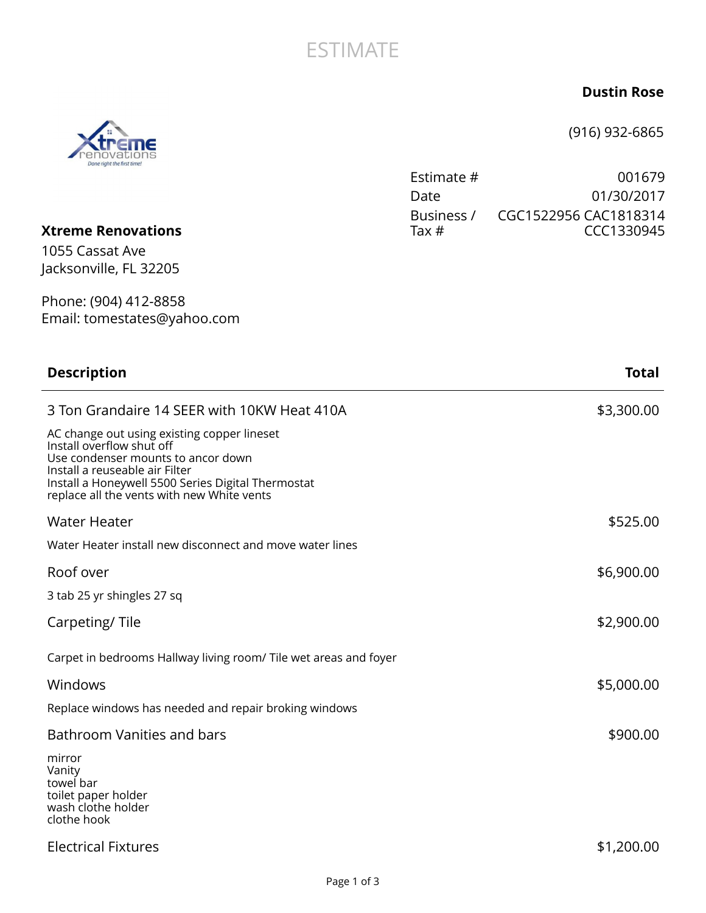## **ESTIMATE**

## **Dustin Rose**

(916) 932-6865

Estimate # 001679 Date 01/30/2017

| <b>Xtreme Renovations</b><br>1055 Cassat Ave<br>Jacksonville, FL 32205                                                                                                                                                                               | Business /<br>Tax $#$ | CGC1522956 CAC1818314<br>CCC1330945 |
|------------------------------------------------------------------------------------------------------------------------------------------------------------------------------------------------------------------------------------------------------|-----------------------|-------------------------------------|
| Phone: (904) 412-8858<br>Email: tomestates@yahoo.com                                                                                                                                                                                                 |                       |                                     |
| <b>Description</b>                                                                                                                                                                                                                                   |                       | <b>Total</b>                        |
| 3 Ton Grandaire 14 SEER with 10KW Heat 410A                                                                                                                                                                                                          |                       | \$3,300.00                          |
| AC change out using existing copper lineset<br>Install overflow shut off<br>Use condenser mounts to ancor down<br>Install a reuseable air Filter<br>Install a Honeywell 5500 Series Digital Thermostat<br>replace all the vents with new White vents |                       |                                     |
| <b>Water Heater</b>                                                                                                                                                                                                                                  |                       | \$525.00                            |
| Water Heater install new disconnect and move water lines                                                                                                                                                                                             |                       |                                     |
| Roof over                                                                                                                                                                                                                                            |                       | \$6,900.00                          |
| 3 tab 25 yr shingles 27 sq                                                                                                                                                                                                                           |                       |                                     |
| Carpeting/Tile                                                                                                                                                                                                                                       |                       | \$2,900.00                          |
| Carpet in bedrooms Hallway living room/ Tile wet areas and foyer                                                                                                                                                                                     |                       |                                     |
| Windows                                                                                                                                                                                                                                              |                       | \$5,000.00                          |
| Replace windows has needed and repair broking windows                                                                                                                                                                                                |                       |                                     |
| Bathroom Vanities and bars<br>mirror                                                                                                                                                                                                                 |                       | \$900.00                            |

mirror Vanity towel bar toilet paper holder wash clothe holder clothe hook

## Electrical Fixtures \$1,200.00

ΠE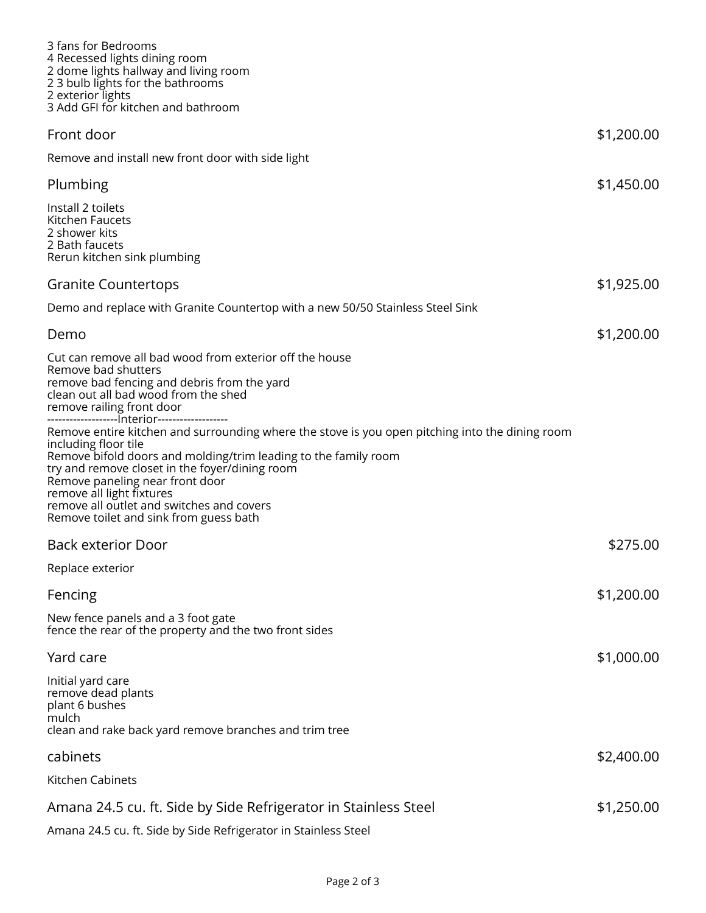| 3 fans for Bedrooms<br>4 Recessed lights dining room<br>2 dome lights hallway and living room<br>2 3 bulb lights for the bathrooms<br>2 exterior lights<br>3 Add GFI for kitchen and bathroom                                                                                                                                                                                                                                                         |            |
|-------------------------------------------------------------------------------------------------------------------------------------------------------------------------------------------------------------------------------------------------------------------------------------------------------------------------------------------------------------------------------------------------------------------------------------------------------|------------|
| Front door                                                                                                                                                                                                                                                                                                                                                                                                                                            | \$1,200.00 |
| Remove and install new front door with side light                                                                                                                                                                                                                                                                                                                                                                                                     |            |
| Plumbing                                                                                                                                                                                                                                                                                                                                                                                                                                              | \$1,450.00 |
| Install 2 toilets<br>Kitchen Faucets<br>2 shower kits<br>2 Bath faucets<br>Rerun kitchen sink plumbing                                                                                                                                                                                                                                                                                                                                                |            |
| <b>Granite Countertops</b>                                                                                                                                                                                                                                                                                                                                                                                                                            | \$1,925.00 |
| Demo and replace with Granite Countertop with a new 50/50 Stainless Steel Sink                                                                                                                                                                                                                                                                                                                                                                        |            |
| Demo                                                                                                                                                                                                                                                                                                                                                                                                                                                  | \$1,200.00 |
| Cut can remove all bad wood from exterior off the house<br>Remove bad shutters<br>remove bad fencing and debris from the yard<br>clean out all bad wood from the shed<br>remove railing front door                                                                                                                                                                                                                                                    |            |
| ------------------- nterior-------------------<br>Remove entire kitchen and surrounding where the stove is you open pitching into the dining room<br>including floor tile<br>Remove bifold doors and molding/trim leading to the family room<br>try and remove closet in the foyer/dining room<br>Remove paneling near front door<br>remove all light fixtures<br>remove all outlet and switches and covers<br>Remove toilet and sink from guess bath |            |
| <b>Back exterior Door</b>                                                                                                                                                                                                                                                                                                                                                                                                                             | \$275.00   |
| Replace exterior                                                                                                                                                                                                                                                                                                                                                                                                                                      |            |
| Fencing                                                                                                                                                                                                                                                                                                                                                                                                                                               | \$1,200.00 |
| New fence panels and a 3 foot gate<br>fence the rear of the property and the two front sides                                                                                                                                                                                                                                                                                                                                                          |            |
| Yard care                                                                                                                                                                                                                                                                                                                                                                                                                                             | \$1,000.00 |
| Initial yard care<br>remove dead plants<br>plant 6 bushes<br>mulch<br>clean and rake back yard remove branches and trim tree                                                                                                                                                                                                                                                                                                                          |            |
| cabinets                                                                                                                                                                                                                                                                                                                                                                                                                                              | \$2,400.00 |
| Kitchen Cabinets                                                                                                                                                                                                                                                                                                                                                                                                                                      |            |
|                                                                                                                                                                                                                                                                                                                                                                                                                                                       | \$1,250.00 |
| Amana 24.5 cu. ft. Side by Side Refrigerator in Stainless Steel<br>Amana 24.5 cu. ft. Side by Side Refrigerator in Stainless Steel                                                                                                                                                                                                                                                                                                                    |            |
|                                                                                                                                                                                                                                                                                                                                                                                                                                                       |            |